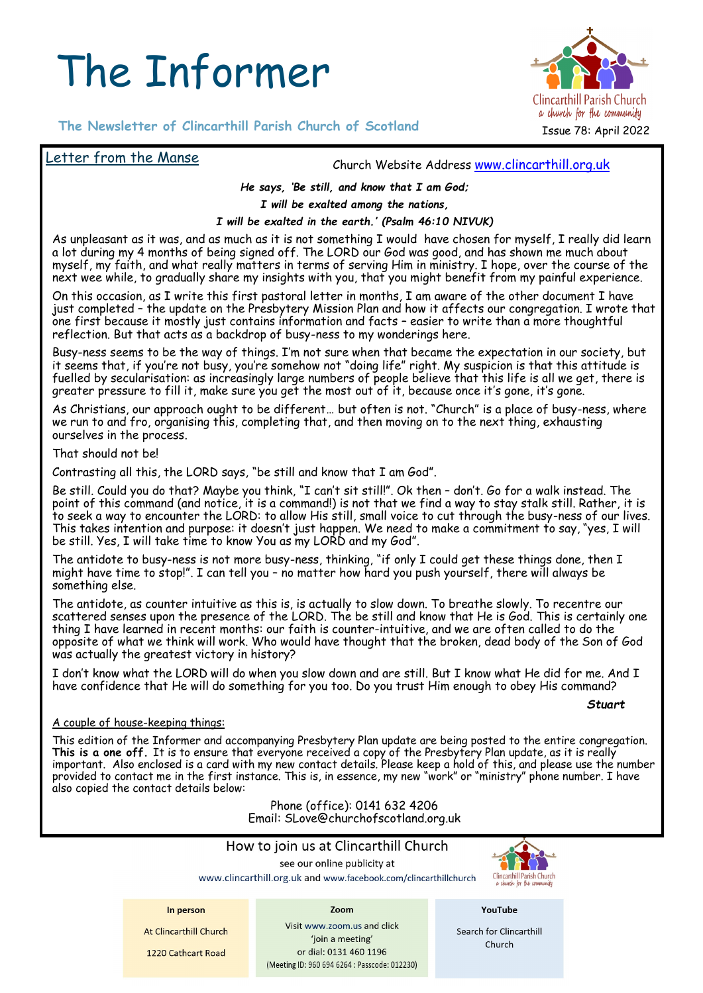# The Informer



# **The Newsletter of Clincarthill Parish Church of Scotland**

## Letter from the Manse

Church Website Address [www.clincarthill.org.uk](http://www.clincarthill.org.uk)

#### *He says, 'Be still, and know that I am God;*

*I will be exalted among the nations,* 

#### *I will be exalted in the earth.' (Psalm 46:10 NIVUK)*

As unpleasant as it was, and as much as it is not something I would have chosen for myself, I really did learn a lot during my 4 months of being signed off. The LORD our God was good, and has shown me much about myself, my faith, and what really matters in terms of serving Him in ministry. I hope, over the course of the next wee while, to gradually share my insights with you, that you might benefit from my painful experience.

On this occasion, as I write this first pastoral letter in months, I am aware of the other document I have just completed – the update on the Presbytery Mission Plan and how it affects our congregation. I wrote that one first because it mostly just contains information and facts – easier to write than a more thoughtful reflection. But that acts as a backdrop of busy-ness to my wonderings here.

Busy-ness seems to be the way of things. I'm not sure when that became the expectation in our society, but it seems that, if you're not busy, you're somehow not "doing life" right. My suspicion is that this attitude is fuelled by secularisation: as increasingly large numbers of people believe that this life is all we get, there is greater pressure to fill it, make sure you get the most out of it, because once it's gone, it's gone.

As Christians, our approach ought to be different… but often is not. "Church" is a place of busy-ness, where we run to and fro, organising this, completing that, and then moving on to the next thing, exhausting ourselves in the process.

That should not be!

Contrasting all this, the LORD says, "be still and know that I am God".

Be still. Could you do that? Maybe you think, "I can't sit still!". Ok then – don't. Go for a walk instead. The point of this command (and notice, it is a command!) is not that we find a way to stay stalk still. Rather, it is to seek a way to encounter the LORD: to allow His still, small voice to cut through the busy-ness of our lives. This takes intention and purpose: it doesn't just happen. We need to make a commitment to say, "yes, I will be still. Yes, I will take time to know You as my LORD and my God".

The antidote to busy-ness is not more busy-ness, thinking, "if only I could get these things done, then I might have time to stop!". I can tell you – no matter how hard you push yourself, there will always be something else.

The antidote, as counter intuitive as this is, is actually to slow down. To breathe slowly. To recentre our scattered senses upon the presence of the LORD. The be still and know that He is God. This is certainly one thing I have learned in recent months: our faith is counter-intuitive, and we are often called to do the opposite of what we think will work. Who would have thought that the broken, dead body of the Son of God was actually the greatest victory in history?

I don't know what the LORD will do when you slow down and are still. But I know what He did for me. And I have confidence that He will do something for you too. Do you trust Him enough to obey His command?

*Stuart* 

#### A couple of house-keeping things:

This edition of the Informer and accompanying Presbytery Plan update are being posted to the entire congregation. This is a one off. It is to ensure that everyone received a copy of the Presbytery Plan update, as it is really important. Also enclosed is a card with my new contact details. Please keep a hold of this, and please use the number provided to contact me in the first instance. This is, in essence, my new "work" or "ministry" phone number. I have also copied the contact details below:

> Phone (office): 0141 632 4206 Email: SLove@churchofscotland.org.uk

## How to join us at Clincarthill Church

see our online publicity at

www.clincarthill.org.uk and www.facebook.com/clincarthillchurch

Zoom



#### In person

At Clincarthill Church

1220 Cathcart Road

Visit www.zoom.us and click 'join a meeting' or dial: 0131 460 1196 (Meeting ID: 960 694 6264 : Passcode: 012230) YouTube

Search for Clincarthill Church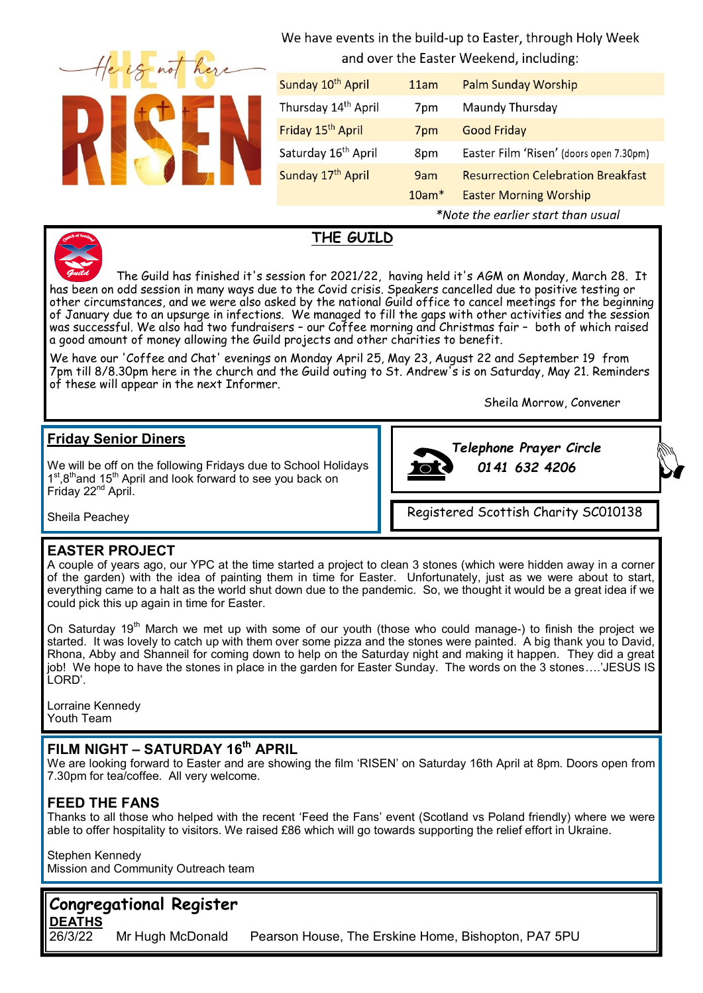We have events in the build-up to Easter, through Holy Week and over the Easter Weekend, including:

| Sunday 10 <sup>th</sup> April   | 11am                               | <b>Palm Sunday Worship</b>                |
|---------------------------------|------------------------------------|-------------------------------------------|
| Thursday 14 <sup>th</sup> April | 7pm                                | Maundy Thursday                           |
| Friday 15 <sup>th</sup> April   | 7 <sub>pm</sub>                    | <b>Good Friday</b>                        |
| Saturday 16 <sup>th</sup> April | 8pm                                | Easter Film 'Risen' (doors open 7.30pm)   |
| Sunday 17th April               | 9am                                | <b>Resurrection Celebration Breakfast</b> |
|                                 | $10am*$                            | <b>Easter Morning Worship</b>             |
|                                 | *Note the earlier start than usual |                                           |

# **THE GUILD**

The Guild has finished it's session for 2021/22, having held it's AGM on Monday, March 28. It has been on odd session in many ways due to the Covid crisis. Speakers cancelled due to positive testing or other circumstances, and we were also asked by the national Guild office to cancel meetings for the beginning of January due to an upsurge in infections. We managed to fill the gaps with other activities and the session was successful. We also had two fundraisers - our Coffee morning and Christmas fair - both of which raised a good amount of money allowing the Guild projects and other charities to benefit.

We have our 'Coffee and Chat' evenings on Monday April 25, May 23, August 22 and September 19 from 7pm till 8/8.30pm here in the church and the Guild outing to St. Andrew's is on Saturday, May 21. Reminders of these will appear in the next Informer.

Sheila Morrow, Convener

# **Friday Senior Diners**

We will be off on the following Fridays due to School Holidays 1<sup>st</sup>,8<sup>th</sup>and 15<sup>th</sup> April and look forward to see you back on Friday 22<sup>nd</sup> April.



*Telephone Prayer Circle*

Registered Scottish Charity SC010138

Sheila Peachey

## **EASTER PROJECT**

A couple of years ago, our YPC at the time started a project to clean 3 stones (which were hidden away in a corner of the garden) with the idea of painting them in time for Easter. Unfortunately, just as we were about to start, everything came to a halt as the world shut down due to the pandemic. So, we thought it would be a great idea if we could pick this up again in time for Easter.

On Saturday 19<sup>th</sup> March we met up with some of our youth (those who could manage-) to finish the project we started. It was lovely to catch up with them over some pizza and the stones were painted. A big thank you to David, Rhona, Abby and Shanneil for coming down to help on the Saturday night and making it happen. They did a great job! We hope to have the stones in place in the garden for Easter Sunday. The words on the 3 stones….'JESUS IS LORD'.

Lorraine Kennedy Youth Team

# **FILM NIGHT – SATURDAY 16th APRIL**

We are looking forward to Easter and are showing the film 'RISEN' on Saturday 16th April at 8pm. Doors open from 7.30pm for tea/coffee. All very welcome.

# **FEED THE FANS**

Thanks to all those who helped with the recent 'Feed the Fans' event (Scotland vs Poland friendly) where we were able to offer hospitality to visitors. We raised £86 which will go towards supporting the relief effort in Ukraine.

Stephen Kennedy Mission and Community Outreach team

# **Congregational Register**

**DEATHS**<br>26/3/22 26/3/22 Mr Hugh McDonald Pearson House, The Erskine Home, Bishopton, PA7 5PU